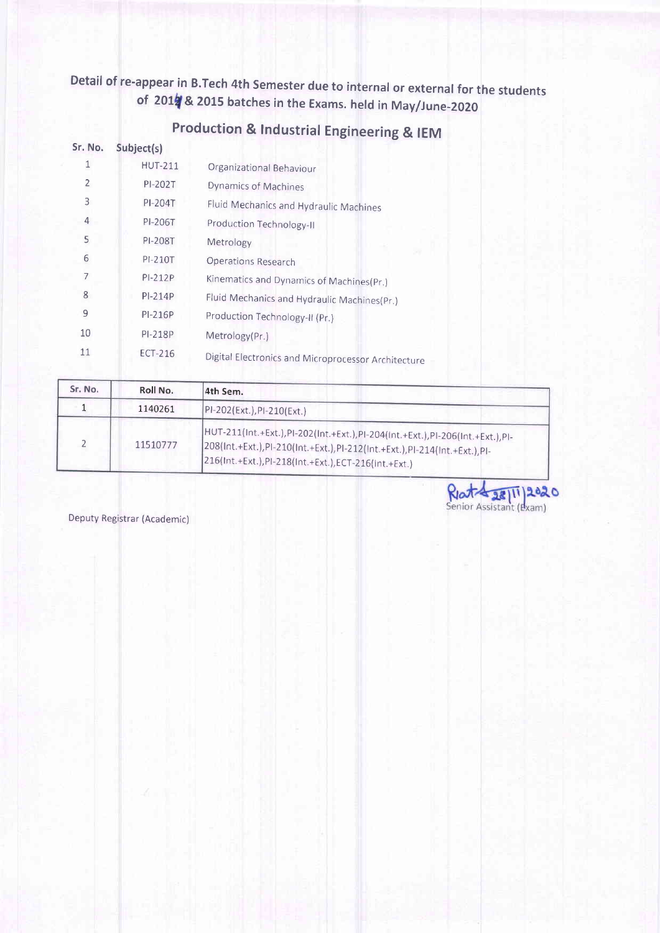Detail of re-appear in B.Tech 4th Semester due to internal or external for the students of 2017 & 2015 batches in the Exams. held in May/June-2020

| Sr. No.        | Subject(s)     |                                                     |
|----------------|----------------|-----------------------------------------------------|
|                | <b>HUT-211</b> | Organizational Behaviour                            |
| $\overline{2}$ | PI-202T        | Dynamics of Machines                                |
| 3              | PI-204T        | Fluid Mechanics and Hydraulic Machines              |
| 4              | PI-206T        | Production Technology-II                            |
| 5              | PI-208T        | Metrology                                           |
| 6              | PI-210T        | Operations Research                                 |
| 7              | $PI-212P$      | Kinematics and Dynamics of Machines(Pr.)            |
| 8              | $PI-214P$      | Fluid Mechanics and Hydraulic Machines(Pr.)         |
| 9              | $PI-216P$      | Production Technology-II (Pr.)                      |
| 10             | PI-218P        | Metrology(Pr.)                                      |
| 11             | <b>ECT-216</b> | Digital Electronics and Microprocessor Architecture |

## production & tndustrial Engineering & IEM

| Sr. No. | Roll No. | 4th Sem.                                                                                                                                                                                                        |
|---------|----------|-----------------------------------------------------------------------------------------------------------------------------------------------------------------------------------------------------------------|
|         | 1140261  | PI-202(Ext.), PI-210(Ext.)                                                                                                                                                                                      |
|         | 11510777 | HUT-211(Int.+Ext.),PI-202(Int.+Ext.),PI-204(Int.+Ext.),PI-206(Int.+Ext.),PI-<br>208(Int.+Ext.),PI-210(Int.+Ext.),PI-212(Int.+Ext.),PI-214(Int.+Ext.),PI-<br>216(Int.+Ext.),PI-218(Int.+Ext.),ECT-216(Int.+Ext.) |

Richt 28/11/2020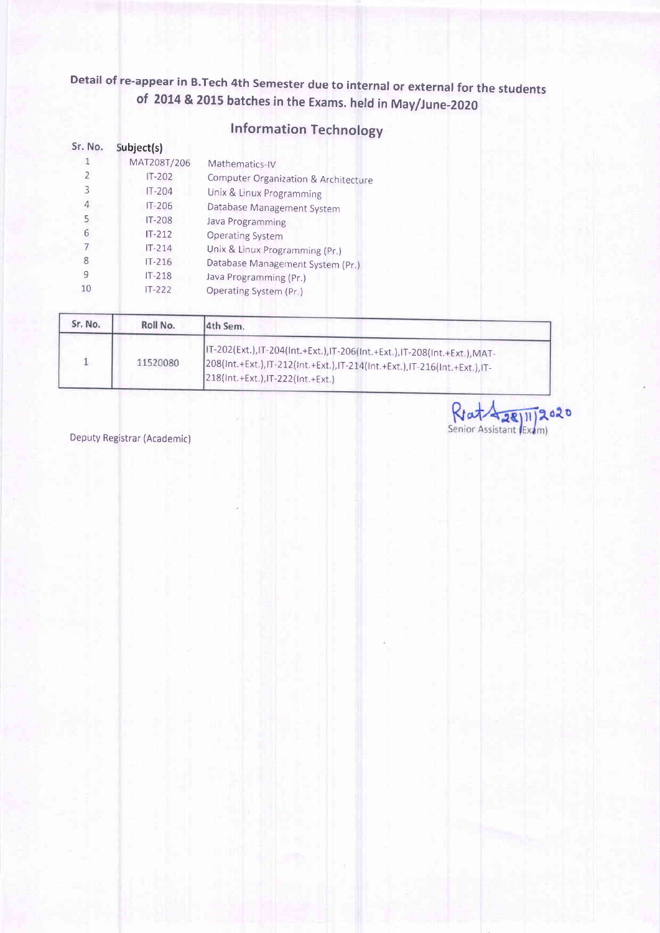## Detail of re-appear in B.Tech 4th Semester due to internal or external for the students of 2014 & 2015 batches in the Exams. held in May/June-2020

### <sup>I</sup>nformation Technology

| Sr. No. | Subject(s)  |                                      |
|---------|-------------|--------------------------------------|
|         | MAT208T/206 | Mathematics-IV                       |
| 2       | $IT-202$    | Computer Organization & Architecture |
| 3       | $IT-204$    | Unix & Linux Programming             |
| 4       | $IT-206$    | Database Management System           |
| 5       | $IT-208$    | Java Programming                     |
| 6       | $IT-212$    | <b>Operating System</b>              |
|         | $IT-214$    | Unix & Linux Programming (Pr.)       |
| 8       | $IT-216$    | Database Management System (Pr.)     |
| 9       | $IT-218$    | Java Programming (Pr.)               |
| 10      | $IT-222$    | Operating System (Pr.)               |
|         |             |                                      |

| Sr. No. | Roll No. | 4th Sem.                                                                                                                                                                                 |
|---------|----------|------------------------------------------------------------------------------------------------------------------------------------------------------------------------------------------|
|         | 11520080 | IT-202(Ext.),IT-204(Int.+Ext.),IT-206(Int.+Ext.),IT-208(Int.+Ext.),MAT-<br>208(Int.+Ext.),IT-212(Int.+Ext.),IT-214(Int.+Ext.),IT-216(Int.+Ext.),IT-<br>218(Int.+Ext.), IT-222(Int.+Ext.) |

Deputy Registrar (Academic)

Rrat 28/11/2020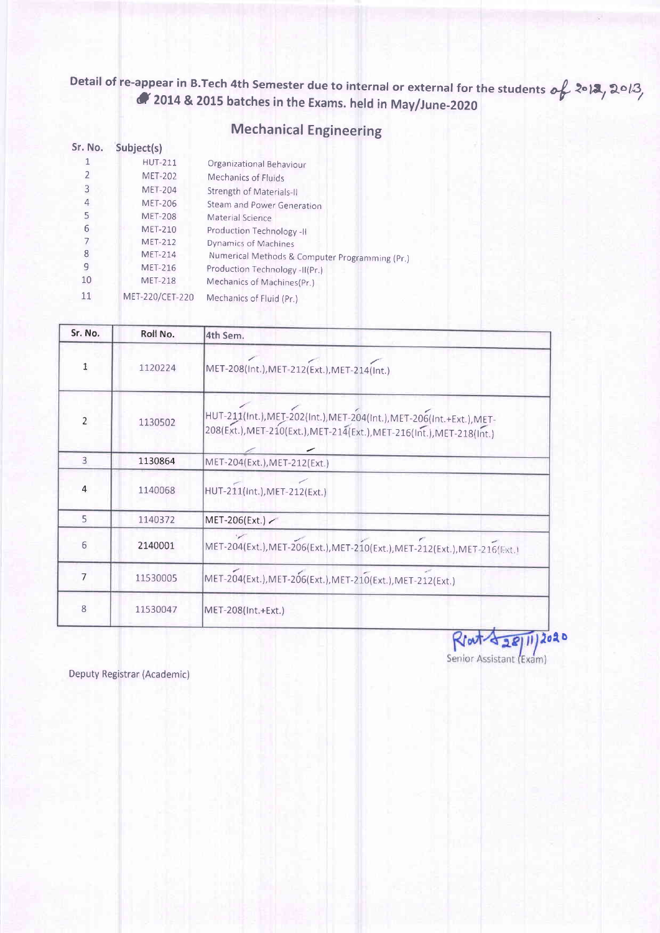#### Detail of re-appear in B.Tech 4th Semester due to internal or external for the students  $o_{\mathbf{t}}^{\prime}$  2013, 2013,  $\alpha$  2014 & 2015 batches in the Exams. held in May/June-2020

### Mechanical Engineering

| Sr. No. | Subject(s)      |                                                |
|---------|-----------------|------------------------------------------------|
|         | <b>HUT-211</b>  | Organizational Behaviour                       |
|         | <b>MET-202</b>  | Mechanics of Fluids                            |
| 3       | <b>MET-204</b>  | Strength of Materials-II                       |
| 4       | <b>MET-206</b>  | Steam and Power Generation                     |
| 5       | <b>MET-208</b>  | Material Science                               |
| 6       | <b>MET-210</b>  | Production Technology -II                      |
|         | <b>MET-212</b>  | Dynamics of Machines                           |
| 8       | <b>MET-214</b>  | Numerical Methods & Computer Programming (Pr.) |
| 9       | <b>MET-216</b>  | Production Technology -II(Pr.)                 |
| 10      | <b>MET-218</b>  | Mechanics of Machines(Pr.)                     |
| 11      | MET-220/CET-220 | Mechanics of Fluid (Pr.)                       |

| Sr. No.        | Roll No. | 4th Sem.                                                                                                                                       |  |
|----------------|----------|------------------------------------------------------------------------------------------------------------------------------------------------|--|
|                | 1120224  | MET-208(Int.), MET-212(Ext.), MET-214(Int.)                                                                                                    |  |
| $\overline{2}$ | 1130502  | HUT-211(Int.), MET-202(Int.), MET-204(Int.), MET-206(Int.+Ext.), MET-<br>208(Ext.), MET-210(Ext.), MET-214(Ext.), MET-216(Int.), MET-218(Int.) |  |
| $\overline{3}$ | 1130864  | MET-204(Ext.), MET-212(Ext.)                                                                                                                   |  |
| $\overline{4}$ | 1140068  | HUT-211(Int.), MET-212(Ext.)                                                                                                                   |  |
| 5              | 1140372  | MET-206(Ext.)                                                                                                                                  |  |
| 6              | 2140001  | MET-204(Ext.), MET-206(Ext.), MET-210(Ext.), MET-212(Ext.), MET-216(Ext.)                                                                      |  |
| 7              | 11530005 | MET-204(Ext.), MET-206(Ext.), MET-210(Ext.), MET-212(Ext.)                                                                                     |  |
| 8              | 11530047 | MET-208(Int.+Ext.)                                                                                                                             |  |

 $R$  out  $\frac{28}{11}$  2020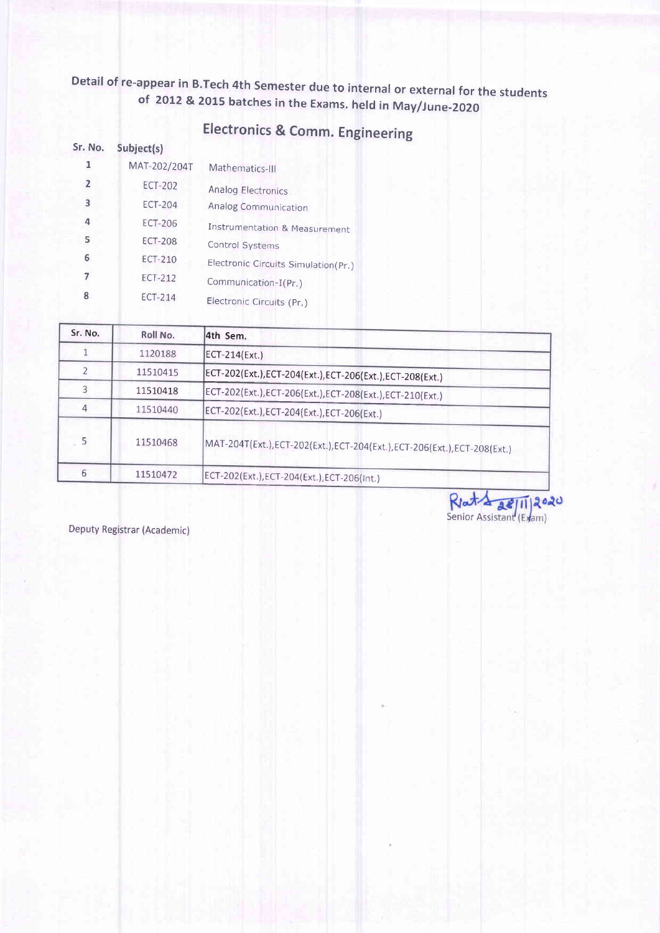# Detail of re-appear in B.Tech 4th Semester due to internal or external for the students of 2012 & 2015 batches in the Exams. held in May/June-2020

## Electronics & Comm. Engineering

| Sr. No.        | Subject(s)     |                                     |
|----------------|----------------|-------------------------------------|
| 1              | MAT-202/204T   | Mathematics-III                     |
| $\overline{2}$ | ECT-202        | Analog Electronics                  |
| 3              | <b>ECT-204</b> | Analog Communication                |
| 4              | <b>ECT-206</b> | Instrumentation & Measurement       |
| 5              | <b>ECT-208</b> | Control Systems                     |
| 6              | ECT-210        | Electronic Circuits Simulation(Pr.) |
|                | ECT-212        | Communication-I(Pr.)                |
| 8              | ECT-214        | Electronic Circuits (Pr.)           |

| Sr. No. | Roll No. | 4th Sem.                                                               |
|---------|----------|------------------------------------------------------------------------|
|         | 1120188  | ECT-214(Ext.)                                                          |
|         | 11510415 | ECT-202(Ext.),ECT-204(Ext.),ECT-206(Ext.),ECT-208(Ext.)                |
|         | 11510418 | ECT-202(Ext.), ECT-206(Ext.), ECT-208(Ext.), ECT-210(Ext.)             |
|         | 11510440 | ECT-202(Ext.), ECT-204(Ext.), ECT-206(Ext.)                            |
| 5       | 11510468 | MAT-204T(Ext.),ECT-202(Ext.),ECT-204(Ext.),ECT-206(Ext.),ECT-208(Ext.) |
| 6       | 11510472 | ECT-202(Ext.),ECT-204(Ext.),ECT-206(Int.)                              |

Rlata all 11 2020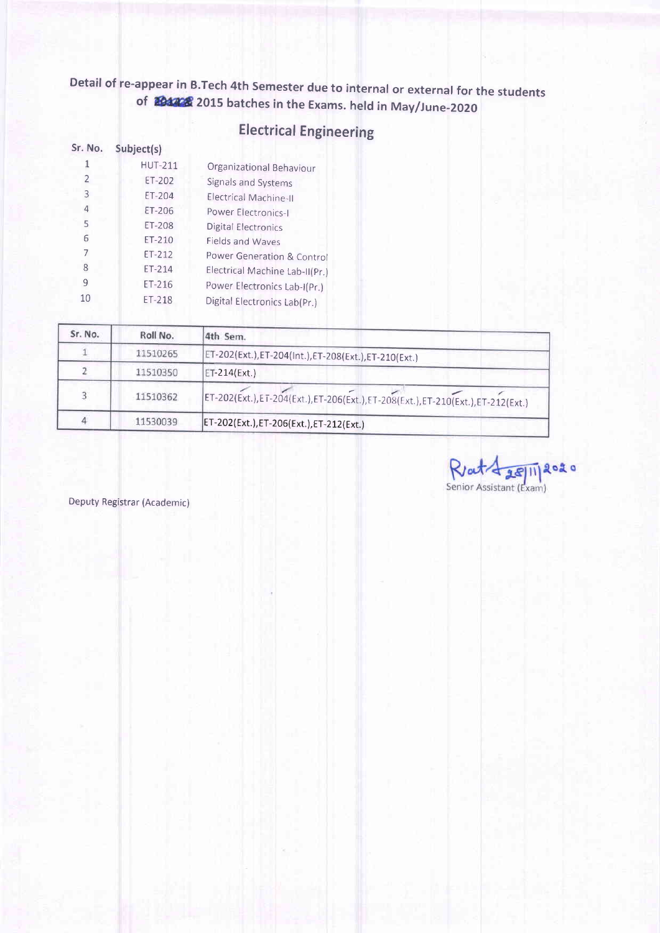## Detail of re-appear in B.Tech 4th Semester due to internal or external for the students of 2015 batches in the Exams. held in May/June-2020

| <b>Electrical Engineering</b> |  |  |  |  |
|-------------------------------|--|--|--|--|
|-------------------------------|--|--|--|--|

| Sr. No. | Subject(s)     |                                |
|---------|----------------|--------------------------------|
|         | <b>HUT-211</b> | Organizational Behaviour       |
| 2       | $ET-202$       | Signals and Systems            |
| 3       | ET-204         | Electrical Machine-II          |
| 4       | ET-206         | Power Electronics-I            |
| 5       | ET-208         | <b>Digital Electronics</b>     |
| 6       | $ET-210$       | Fields and Waves               |
| 7       | ET-212         | Power Generation & Control     |
| 8       | ET-214         | Electrical Machine Lab-II(Pr.) |
| 9       | $ET-216$       | Power Electronics Lab-I(Pr.)   |
| 10      | ET-218         | Digital Electronics Lab(Pr.)   |

| Sr. No. | Roll No. | 4th Sem.                                                                      |
|---------|----------|-------------------------------------------------------------------------------|
|         | 11510265 | ET-202(Ext.),ET-204(Int.),ET-208(Ext.),ET-210(Ext.)                           |
|         | 11510350 | ET-214(Ext.)                                                                  |
|         | 11510362 | ET-202(Ext.),ET-204(Ext.),ET-206(Ext.),ET-208(Ext.),ET-210(Ext.),ET-212(Ext.) |
|         | 11530039 | [ET-202(Ext.), ET-206(Ext.), ET-212(Ext.)                                     |

Rent de Maria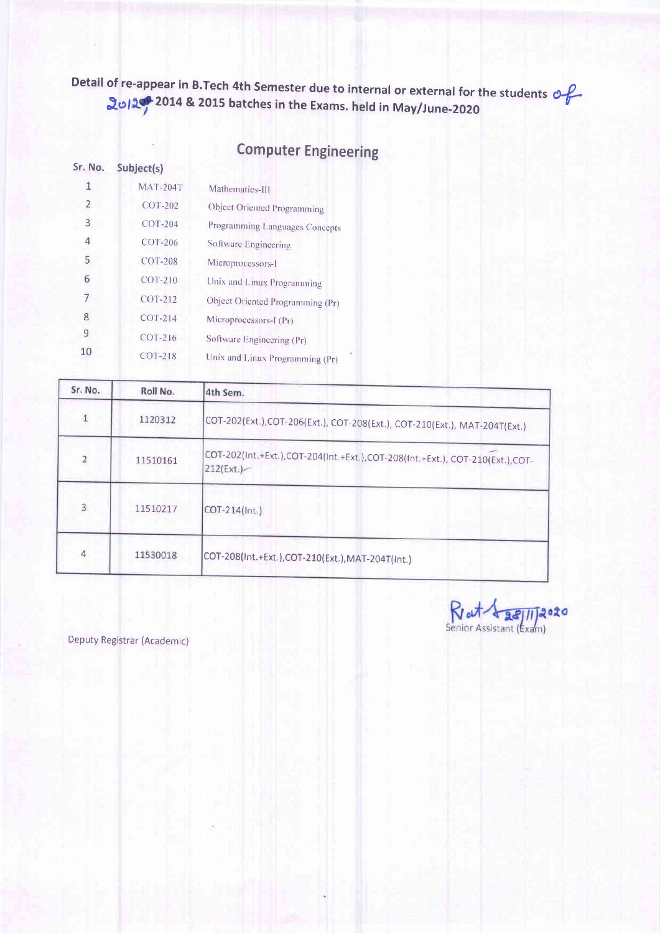Detail of re-appear in B.Tech 4th Semester due to internal or external for the students  $\partial f$ .<br>2014 & 2015 batches in the Exams. held in May/June-2020

#### Computer Engineering

| Sr. No.        | Subject(s)      |                                  |
|----------------|-----------------|----------------------------------|
| 1              | <b>MAT-204T</b> | Mathematics-III                  |
| $\overline{2}$ | COT-202         | Object Oriented Programming      |
| 3              | $COT-204$       | Programming Languages Concepts   |
| 4              | COT-206         | Software Engineering             |
| 5              | COT-208         | Microprocessors-1                |
| 6              | $COT-210$       | Unix and Linux Programming       |
| 7              | <b>COT-212</b>  | Object Oriented Programming (Pr) |
| 8              | COT-214         | Microprocessors-I (Pr)           |
| 9              | $COT-216$       | Software Engineering (Pr)        |
| 10             | COT-218         | Unix and Linux Programming (Pr)  |

| Sr. No.        | Roll No. | 4th Sem.                                                                                   |
|----------------|----------|--------------------------------------------------------------------------------------------|
|                | 1120312  | COT-202(Ext.),COT-206(Ext.), COT-208(Ext.), COT-210(Ext.), MAT-204T(Ext.)                  |
| 2              | 11510161 | COT-202(Int.+Ext.),COT-204(Int.+Ext.),COT-208(Int.+Ext.), COT-210(Ext.),COT-<br>212(Ext.)- |
| $\overline{3}$ | 11510217 | COT-214(Int.)                                                                              |
| 4              | 11530018 | COT-208(Int.+Ext.),COT-210(Ext.),MAT-204T(Int.)                                            |

Rat 1 28/11/2020